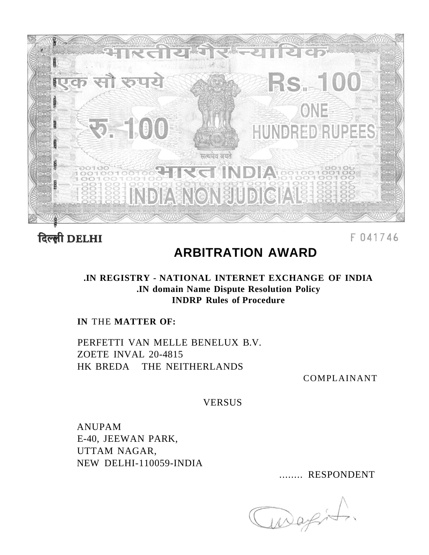

दिल्ली DELHI

F041746

# **ARBITRATION AWARD**

# **.IN REGISTRY - NATIONAL INTERNET EXCHANGE OF INDIA .IN domain Name Dispute Resolution Policy INDRP Rules of Procedure**

**IN** THE **MATTER OF:** 

PERFETTI VAN MELLE BENELUX B.V. ZOETE INVAL 20-4815 HK BREDA THE NEITHERLANDS

COMPLAINANT

VERSUS

ANUPAM E-40, JEEWAN PARK, UTTAM NAGAR, NEW DELHI-110059-INDIA

........ RESPONDENT

aragit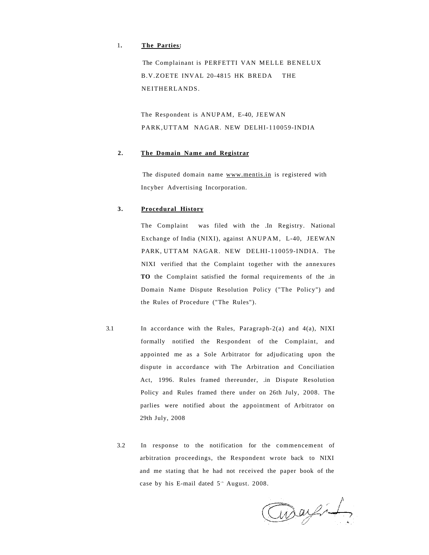## 1**. The Parties:**

The Complainant is PERFETTI VAN MELLE BENELUX B.V.ZOETE INVAL 20-4815 HK BREDA THE NEITHERLANDS.

The Respondent is ANUPAM, E-40, JEEWAN PARK,UTTAM NAGAR. NEW DELHI-110059-INDIA

#### **2. The Domain Name and Registrar**

The disputed domain name [www.mentis.in](http://www.mentis.in) is registered with Incyber Advertising Incorporation.

## **3. Procedural History**

The Complaint was filed with the .In Registry. National Exchange of India (NIXI), against ANUPAM, L-40, JEEWAN PARK, UTTAM NAGAR. NEW DELHI-110059-INDIA. The NIXI verified that the Complaint together with the annexures **TO** the Complaint satisfied the formal requirements of the .in Domain Name Dispute Resolution Policy ("The Policy") and the Rules of Procedure ("The Rules").

- 3.1 In accordance with the Rules, Paragraph-2(a) and 4(a), NIXI formally notified the Respondent of the Complaint, and appointed me as a Sole Arbitrator for adjudicating upon the dispute in accordance with The Arbitration and Conciliation Act, 1996. Rules framed thereunder, .in Dispute Resolution Policy and Rules framed there under on 26th July, 2008. The parlies were notified about the appointment of Arbitrator on 29th July, 2008
	- 3.2 In response to the notification for the commencement of arbitration proceedings, the Respondent wrote back to NIXI and me stating that he had not received the paper book of the case by his E-mail dated  $5^{\text{th}}$  August. 2008.

Curry 1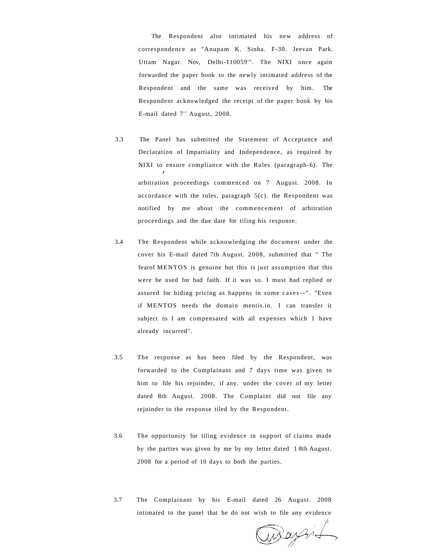The Respondent also intimated his new address of correspondence as "Anupam K. Sinha. F-30. Jeevan Park. Uttam Nagar. Nov, Delhi-110059'". The NIXI once again forwarded the paper book to the newly intimated address of the Respondent and the same was received by him. The Respondent acknowledged the receipt of the paper book by his E-mail dated  $7^{\text{th}}$  August, 2008.

- 3.3 The Panel has submitted the Statement of Acceptance and Declaration of Impartiality and Independence, as required by NIXI to ensure compliance with the Rules (paragraph-6). The *r*  arbitration proceedings commenced on 7<sup>°</sup> August. 2008. In accordance with the rules, paragraph 5(c). the Respondent was notified by me about the commencement of arbitration proceedings and the due date for tiling his response.
- 3.4 The Respondent while acknowledging the document under the cover his E-mail dated 7th August. 2008, submitted that " The fearof MENTOS is genuine but this is just assumption that this were be used for bad faith. If it was so. I must had replied or assured for biding pricing as happens in some cases--" . "Even if MENTOS needs the domain mentis.in. I can transfer it subject to I am compensated with ail expenses which I have already incurred".
- 3.5 The response as has been filed by the Respondent, was forwarded to the Complainant and 7 days time was given to him to file his rejoinder, if any. under the cover of my letter dated 8th August. 2008. The Complaint did not file any rejoinder to the response tiled by the Respondent.
- 3.6 The opportunity for tiling evidence in support of claims made by the parties was given by me by my letter dated 1 8th August. 2008 for a period of 10 days to both the parties.
- 3.7 The Complainant by his E-mail dated 26 August. 2008 intimated to the panel that he do not wish to file any evidence

Waynf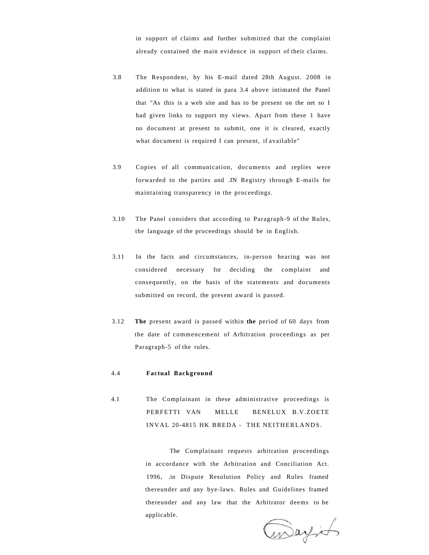in support of claims and further submitted that the complaint already contained the main evidence in support of their claims.

- 3.8 The Respondent, by his E-mail dated 28th August. 2008 in addition to what is stated in para 3.4 above intimated the Panel that "As this is a web site and has to be present on the net so I had given links to support my views. Apart from these 1 have no document at present to submit, one it is cleared, exactly what document is required I can present, if available"
- 3.9 Copies of all communication, documents and replies were forwarded to the parties and .IN Registry through E-mails for maintaining transparency in the proceedings.
- 3.10 The Panel considers that according to Paragraph-9 of the Rules, the language of the proceedings should be in English.
- 3.11 In the facts and circumstances, in-person hearing was not considered necessary for deciding the complaint and consequently, on the basis of the statements and documents submitted on record, the present award is passed.
- 3.12 **The** present award is passed within **the** period of 60 days from the date of commencement of Arbitration proceedings as per Paragraph-5 of the rules.

#### 4.4 **Factual Background**

4.1 The Complainant in these administrative proceedings is PERFETTI VAN MELLE BENELUX B.V.ZOETE INVAL 20-4815 HK BREDA - THE NEITHERLANDS.

> The Complainant requests arbitration proceedings in accordance with the Arbitration and Conciliation Act. 1996, .in Dispute Resolution Policy and Rules framed thereunder and any bye-laws. Rules and Guidelines framed thereunder and any law that the Arbitrator deems to be applicable.

assayint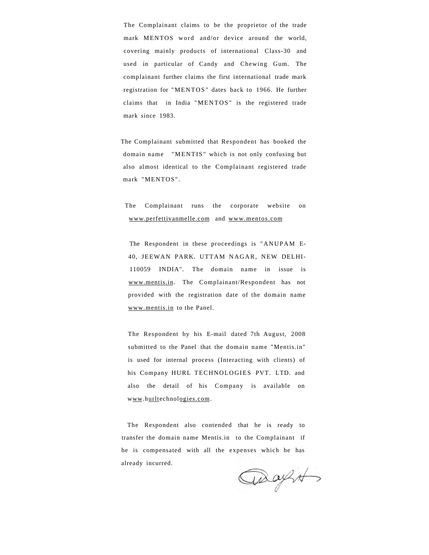The Complainant claims to be the proprietor of the trade mark MENTOS word and/or device around the world, covering mainly products of international Class-30 and used in particular of Candy and Chewing Gum. The complainant further claims the first international trade mark registration for "MENTOS" dates back to 1966. He further claims that in India "MENTOS " is the registered trade mark since 1983.

The Complainant submitted that Respondent has booked the domain name "MENTIS" which is not only confusing but also almost identical to the Complainant registered trade mark "MENTOS" .

The Complainant runs the corporate website on [www.perfettivanmelle.com](http://www.perlettivanmeile.com) and [www.mentos.com](http://www.mentos.cojn)

The Respondent in these proceedings is "ANUPAM E-40, JEEWAN PARK. UTTAM NAGAR, NEW DELHI-110059 INDIA". The domain name in issue is [www.mentis.in.](http://www.mentis.iri) The Complainant/Respondent has not provided with the registration date of the domain name [www.mentis.in t](http://www.meiitis.in)o the Panel.

The Respondent by his E-mail dated 7th August, 2008 submitted to the Panel that the domain name "Mentis.in" is used for internal process (Interacting with clients) of his Company HURL TECHNOLOGIES PVT. LTD. and also the detail of his Company is available on www.hurltechnologies.com.

The Respondent also contended that he is ready to transfer the domain name Mentis.in to the Complainant if he is compensated with all the expenses which he has already incurred.

asagit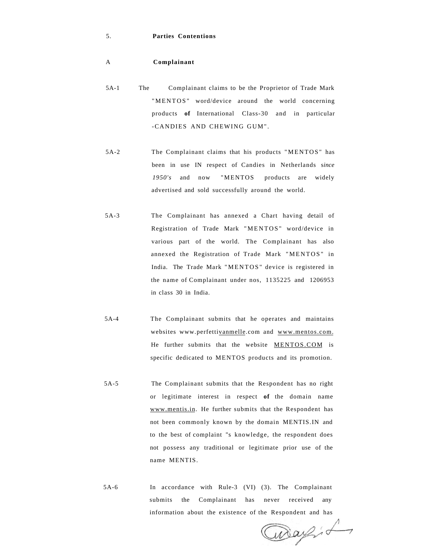#### 5. **Parties Contentions**

#### A **Complainant**

- 5A-1 The Complainant claims to be the Proprietor of Trade Mark "MENTOS" word/device around the world concerning products **of** International Class-30 and in particular -CANDIES AND CHEWING GUM" .
- 5A-2 The Complainant claims that his products "MENTOS " has been in use IN respect of Candies in Netherlands s*ince 1950's* and now "MENTOS products are widely advertised and sold successfully around the world.
- 5A-3 The Complainant has annexed a Chart having detail of Registration of Trade Mark "MENTOS " word/device in various part of the world. The Complainant has also annexed the Registration of Trade Mark "MENTOS" in India. The Trade Mark "MENTOS " device is registered in the name of Complainant under nos, 1135225 and 1206953 in class 30 in India.
- 5A-4 The Complainant submits that he operates and maintains websites www.perfettivanmelle.com and [www.men](http://www.me)[tos.com.](http://itos.com) He further submits that the website [MENTOS.COM i](http://MI-NT0S.COM)s specific dedicated to MENTOS products and its promotion.
- 5A-5 The Complainant submits that the Respondent has no right or legitimate interest in respect **of** the domain name [www.mentis.in.](http://www.mentis.in) He further submits that the Respondent has not been commonly known by the domain MENTIS.IN and to the best of complaint "s knowledge, the respondent does not possess any traditional or legitimate prior use of the name MENTIS.
- 5A-6 In accordance with Rule-3 (VI) (3). The Complainant submits the Complainant has never received any information about the existence of the Respondent and has

Way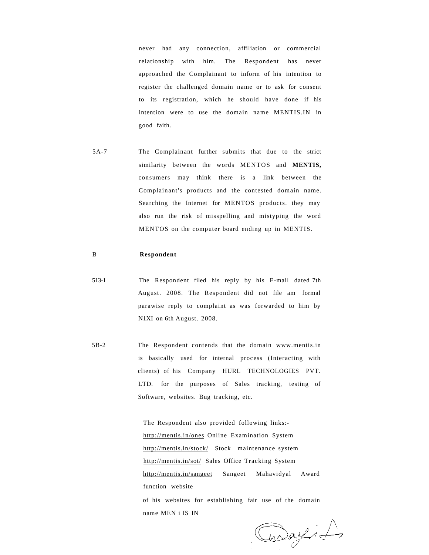never had any connection, affiliation or commercial relationship with him. The Respondent has never approached the Complainant to inform of his intention to register the challenged domain name or to ask for consent to its registration, which he should have done if his intention were to use the domain name MENTIS.IN in good faith.

5A-7 The Complainant further submits that due to the strict similarity between the words MENTOS and **MENTIS,**  consumers may think there is a link between the Complainant's products and the contested domain name. Searching the Internet for MENTOS products. they may also run the risk of misspelling and mistyping the word MENTOS on the computer board ending up in MENTIS.

# B **Respondent**

- 513-1 The Respondent filed his reply by his E-mail dated 7th August. 2008. The Respondent did not file am formal parawise reply to complaint as was forwarded to him by N1XI on 6th August. 2008.
- 5B-2 The Respondent contends that the domain [www.mentis.in](http://wvvw.mentis.il)  is basically used for internal process (Interacting with clients) of his Company HURL TECHNOLOGIES PVT. LTD. for the purposes of Sales tracking, testing of Software, websites. Bug tracking, etc.

name MEN i IS IN

The Respondent also provided following links: <http://mentis.in/ones>Online Examination System [http://mentis.in/stock/ S](http://mentis.in/stock/)tock maintenance system [http://mentis.in/sot/](http://nieinis.in/sot/) Sales Office Tracking System <http://mentis.in/sangeet>Sangeet Mahavidyal Award function website of his websites for establishing fair use of the domain

Casay il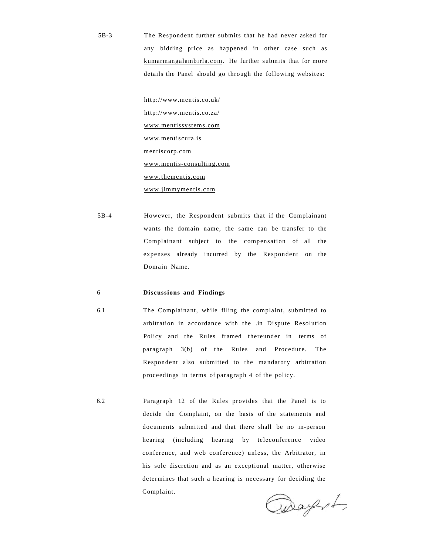5B-3 The Respondent further submits that he had never asked for any bidding price as happened in other case such as [kumarmangalambirla.com.](http://kumarmangalambiria.com) He further submits that for more details the Panel should go through the following websites:

> http://www.mentis.co.uk/ http://www.mentis.co.za/ [www.mentissystems.com](http://wnvw.mentissvstems.com)  www.mentiscura.is [mentiscorp.com](http://mentiscorp.com)  [www.mentis-consulting.com](http://www.mentis-consultinft.com)  [www.thementis.com](http://www.thementis.com)  www.j[immymentis.com](http://immvmentis.com)

5B-4 However, the Respondent submits that if the Complainant wants the domain name, the same can be transfer to the Complainant subject to the compensation of all the expenses already incurred by the Respondent on the Domain Name.

#### 6 **Discussions and Findings**

6.1 The Complainant, while filing the complaint, submitted to arbitration in accordance with the .in Dispute Resolution Policy and the Rules framed thereunder in terms of paragraph 3(b) of the Rules and Procedure. The Respondent also submitted to the mandatory arbitration proceedings in terms of paragraph 4 of the policy.

6.2 Paragraph 12 of the Rules provides thai the Panel is to decide the Complaint, on the basis of the statements and documents submitted and that there shall be no in-person hearing (including hearing by teleconference video conference, and web conference) unless, the Arbitrator, in his sole discretion and as an exceptional matter, otherwise determines that such a hearing is necessary for deciding the Complaint.

Way of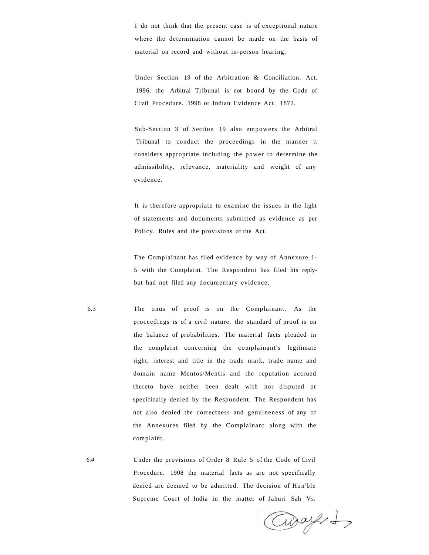I do not think that the present case is of exceptional nature where the determination cannot be made on the basis of material on record and without in-person hearing.

Under Section 19 of the Arbitration & Conciliation. Act. 1996. the .Arbitral Tribunal is not bound by the Code of Civil Procedure. 1998 or Indian Evidence Act. 1872.

Sub-Section 3 of Section 19 also empowers the Arbitral Tribunal to conduct the proceedings in the manner it considers appropriate including the power to determine the admissibility, relevance, materiality and weight of any evidence.

It is therefore appropriate to examine the issues in the light of statements and documents submitted as evidence as per Policy. Rules and the provisions of the Act.

The Complainant has filed evidence by way of Annexure 1- 5 with the Complaint. The Respondent has filed his replybut had not filed any documentary evidence.

6.3 The onus of proof is on the Complainant. As the proceedings is of a civil nature, the standard of proof is on the balance of probabilities. The material facts pleaded in the complaint concerning the complainant's legitimate right, interest and title in the trade mark, trade name and domain name Mentos/Mentis and the reputation accrued thereto have neither been dealt with nor disputed or specifically denied by the Respondent. The Respondent has not also denied the correctness and genuineness of any of the Annexures filed by the Complainant along with the complaint.

*6.4* Under the provisions of Order 8 Rule 5 of the Code of Civil Procedure. 1908 the material facts as are not specifically denied arc deemed to be admitted. The decision of Hon'ble Supreme Court of India in the matter of Jahuri Sah Vs.

avayer to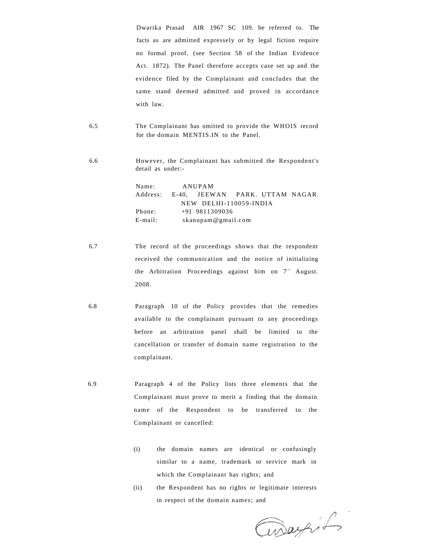Dwarika Prasad AIR 1967 SC 109. be referred to. The facts as are admitted expressely or by legal fiction require no formal proof. (see Section 58 of the Indian Evidence Act. 1872). The Panel therefore accepts case set up and the evidence filed by the Complainant and concludes that the same stand deemed admitted and proved in accordance with law.

6.5 The Complainant has omitted to provide the WHOIS record for the domain MENTIS.IN to the Panel.

6.6 However, the Complainant has submitted the Respondent's detail as under:-

> Name: ANUPAM Address: E-40, JEEWAN PARK. UTTAM NAGAR. NEW DELHI-110059-INDIA Phone: +91 9811309036 E-mail: skanupam@gmail.com

- 6.7 The record of the proceedings shows that the respondent received the communication and the notice of initializing the Arbitration Proceedings against him on 7<sup>th</sup> August. 2008.
- 6.8 Paragraph 10 of the Policy provides that the remedies available to the complainant pursuant to any proceedings before an arbitration panel shall be limited to the cancellation or transfer of domain name registration to the complainant.
- 6.9 Paragraph 4 of the Policy lists three elements that the Complainant must prove to merit a finding that the domain name of the Respondent to be transferred to the Complainant or cancelled:
	- (i) the domain names are identical or confusingly similar to a name, trademark or service mark in which the Complainant has rights; and
	- (ii) the Respondent has no rights or legitimate interests in respect of the domain names; and

awageif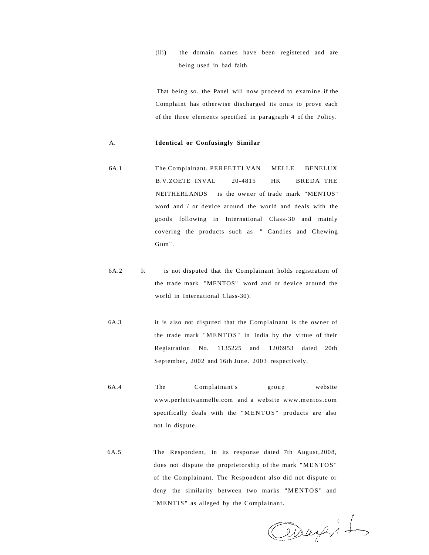(iii) the domain names have been registered and are being used in bad faith.

That being so. the Panel will now proceed to examine if the Complaint has otherwise discharged its onus to prove each of the three elements specified in paragraph 4 of the Policy.

#### A. **Identical or Confusingly Similar**

- 6A.1 The Complainant. PERFETTI VAN MELLE BENELUX B.V.ZOETE INVAL 20-4815 HK BREDA THE NEITHERLANDS is the owner of trade mark "MENTOS" word and / or device around the world and deals with the goods following in International Class-30 and mainly covering the products such as " Candies and Chewing Gum".
- 6A.2 It is not disputed that the Complainant holds registration of the trade mark "MENTOS" word and or device around the world in International Class-30).
- 6A.3 it is also not disputed that the Complainant is the owner of the trade mark "MENTOS" in India by the virtue of their Registration No. 1135225 and 1206953 dated 20th September, 2002 and 16th June. 2003 respectively.
- 6A.4 The Complainant's group website www.perfettivanmelle.com and a website [www.mentos.com](http://www.meiiios.com) specifically deals with the "MENTOS" products are also not in dispute.
- 6A.5 The Respondent, in its response dated 7th August,2008, does not dispute the proprietorship of the mark "MENTOS " of the Complainant. The Respondent also did not dispute or deny the similarity between two marks "MENTOS" and "MENTIS" as alleged by the Complainant.

Ceragit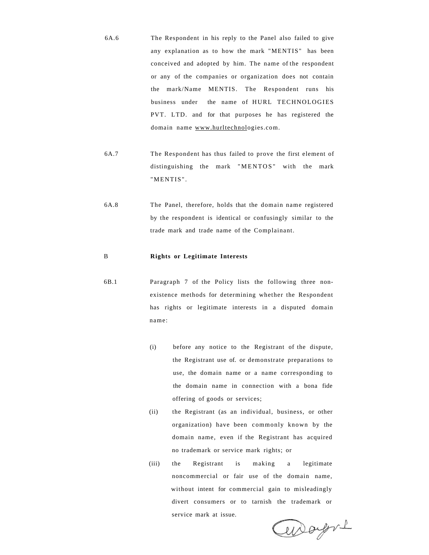- 6A.6 The Respondent in his reply to the Panel also failed to give any explanation as to how the mark "MENTIS" has been conceived and adopted by him. The name of the respondent or any of the companies or organization does not contain the mark/Name MENTIS. The Respondent runs his business under the name of HURL TECHNOLOGIES PVT. LTD. and for that purposes he has registered the domain name [www.hurltechnolo](http://www.hurltechno)gies.com.
- 6A.7 The Respondent has thus failed to prove the first element of distinguishing the mark "MENTOS" with the mark "MENTIS" .
- 6A.8 The Panel, therefore, holds that the domain name registered by the respondent is identical or confusingly similar to the trade mark and trade name of the Complainant.

#### B **Rights or Legitimate Interests**

- 6B.1 Paragraph 7 of the Policy lists the following three nonexistence methods for determining whether the Respondent has rights or legitimate interests in a disputed domain name:
	- (i) before any notice to the Registrant of the dispute, the Registrant use of. or demonstrate preparations to use, the domain name or a name corresponding to the domain name in connection with a bona fide offering of goods or services;
	- (ii) the Registrant (as an individual, business, or other organization) have been commonly known by the domain name, even if the Registrant has acquired no trademark or service mark rights; or
	- (iii) the Registrant is making a legitimate noncommercial or fair use of the domain name, without intent for commercial gain to misleadingly divert consumers or to tarnish the trademark or service mark at issue.

arbayers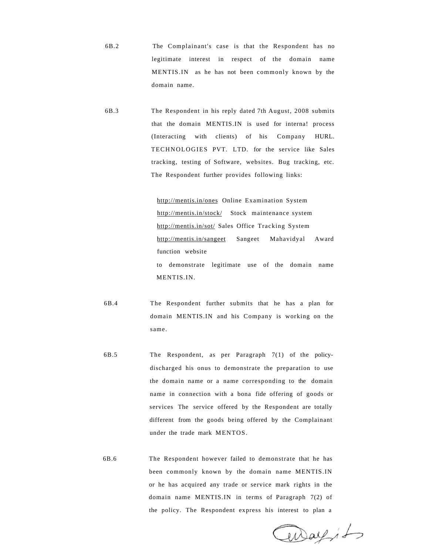- 6B.2 The Complainant's case is that the Respondent has no legitimate interest in respect of the domain name MENTIS.IN as he has not been commonly known by the domain name.
- 6B.3 The Respondent in his reply dated 7th August, 2008 submits that the domain MENTIS.IN is used for interna! process (Interacting with clients) of his Company HURL. TECHNOLOGIES PVT. LTD. for the service like Sales tracking, testing of Software, websites. Bug tracking, etc. The Respondent further provides following links:

[http://mentis.in/ones](http://menlis.in/ones) Online Examination System [http://mentis.in/stock/](http://mcntis.in/stock/) Stock maintenance system [http://mentis.in/sot/ S](http://mentis.in/sot/)ales Office Tracking System [http://mentis.in/sangeet S](http://mcntis.in/sangccl)angeet Mahavidyal Award function website to demonstrate legitimate use of the domain name MENTIS.IN.

- 6B.4 The Respondent further submits that he has a plan for domain MENTIS.IN and his Company is working on the same.
- 6B.5 The Respondent, as per Paragraph 7(1) of the policydischarged his onus to demonstrate the preparation to use the domain name or a name corresponding to the domain name in connection with a bona fide offering of goods or services The service offered by the Respondent are totally different from the goods being offered by the Complainant under the trade mark MENTOS.
- 6B.6 The Respondent however failed to demonstrate that he has been commonly known by the domain name MENTIS.IN or he has acquired any trade or service mark rights in the domain name MENTIS.IN in terms of Paragraph 7(2) of the policy. The Respondent express his interest to plan a

aray, to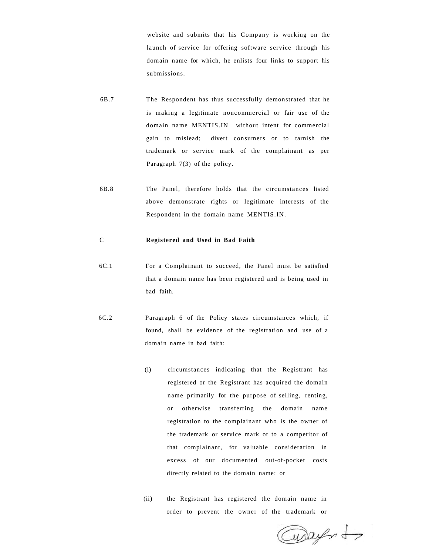website and submits that his Company is working on the launch of service for offering software service through his domain name for which, he enlists four links to support his submissions.

- 6B.7 The Respondent has thus successfully demonstrated that he is making a legitimate noncommercial or fair use of the domain name MENTIS.IN without intent for commercial gain to mislead; divert consumers or to tarnish the trademark or service mark of the complainant as per Paragraph 7(3) of the policy.
- 6B.8 The Panel, therefore holds that the circumstances listed above demonstrate rights or legitimate interests of the Respondent in the domain name MENTIS.IN.

# C **Registered and Used in Bad Faith**

- 6C.1 For a Complainant to succeed, the Panel must be satisfied that a domain name has been registered and is being used in bad faith.
- 6C.2 Paragraph 6 of the Policy states circumstances which, if found, shall be evidence of the registration and use of a domain name in bad faith:
	- (i) circumstances indicating that the Registrant has registered or the Registrant has acquired the domain name primarily for the purpose of selling, renting, or otherwise transferring the domain name registration to the complainant who is the owner of the trademark or service mark or to a competitor of that complainant, for valuable consideration in excess of our documented out-of-pocket costs directly related to the domain name: or
	- (ii) the Registrant has registered the domain name in order to prevent the owner of the trademark or

aways to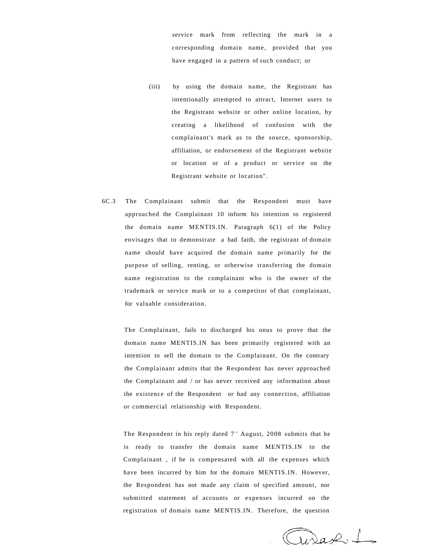service mark from reflecting the mark in a corresponding domain name, provided that you have engaged in a pattern of such conduct; or

- (iii) by using the domain name, the Registrant has intentionally attempted to attract, Internet users to the Registrant website or other online location, by creating a likelihood of confusion with the complainant's mark as to the source, sponsorship, affiliation, or endorsement of the Registrant website or location or of a product or service on the Registrant website or location".
- 6C.3 The Complainant submit that the Respondent must have approached the Complainant 10 inform his intention to registered the domain name MENTIS.IN. Paragraph 6(1) of the Policy envisages that to demonstrate a bad faith, the registrant of domain name should have acquired the domain name primarily for the purpose of selling, renting, or otherwise transferring the domain name registration to the complainant who is the owner of the trademark or service mark or to a competitor of that complainant, for valuable consideration.

The Complainant, fails to discharged his onus to prove that the domain name MENTIS.IN has been primarily registered with an intention to sell the domain to the Complainant. On the contrary the Complainant admits that the Respondent has never approached the Complainant and / or has never received any information about the existence of the Respondent or had any connection, affiliation or commercial relationship with Respondent.

The Respondent in his reply dated  $7<sup>th</sup>$  August, 2008 submits that he is ready to transfer the domain name MENTIS.IN to the Complainant , if he is compensated with all the expenses which have been incurred by him for the domain MENTIS.IN. However, the Respondent has not made any claim of specified amount, nor submitted statement of accounts or expenses incurred on the registration of domain name MENTIS.IN. Therefore, the question

Jurap 1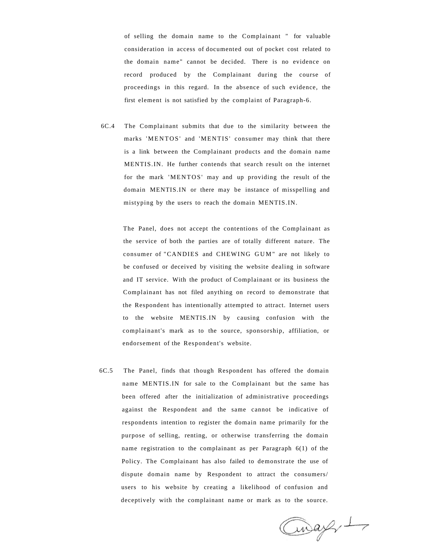of selling the domain name to the Complainant " for valuable consideration in access of documented out of pocket cost related to the domain name" cannot be decided. There is no evidence on record produced by the Complainant during the course of proceedings in this regard. In the absence of such evidence, the first element is not satisfied by the complaint of Paragraph-6.

6C.4 The Complainant submits that due to the similarity between the marks 'MENTOS' and 'MENTIS' consumer may think that there is a link between the Complainant products and the domain name MENTIS.IN. He further contends that search result on the internet for the mark 'MENTOS' may and up providing the result of the domain MENTIS.IN or there may be instance of misspelling and mistyping by the users to reach the domain MENTIS.IN.

The Panel, does not accept the contentions of the Complainant as the service of both the parties are of totally different nature. The consumer of "CANDIES and CHEWING GUM" are not likely to be confused or deceived by visiting the website dealing in software and IT service. With the product of Complainant or its business the Complainant has not filed anything on record to demonstrate that the Respondent has intentionally attempted to attract. Internet users to the website MENTIS.IN by causing confusion with the complainant's mark as to the source, sponsorship, affiliation, or endorsement of the Respondent's website.

6C.5 The Panel, finds that though Respondent has offered the domain name MENTIS.IN for sale to the Complainant but the same has been offered after the initialization of administrative proceedings against the Respondent and the same cannot be indicative of respondents intention to register the domain name primarily for the purpose of selling, renting, or otherwise transferring the domain name registration to the complainant as per Paragraph 6(1) of the Policy. The Complainant has also failed to demonstrate the use of dispute domain name by Respondent to attract the consumers/ users to his website by creating a likelihood of confusion and deceptively with the complainant name or mark as to the source.

Cwap, 1